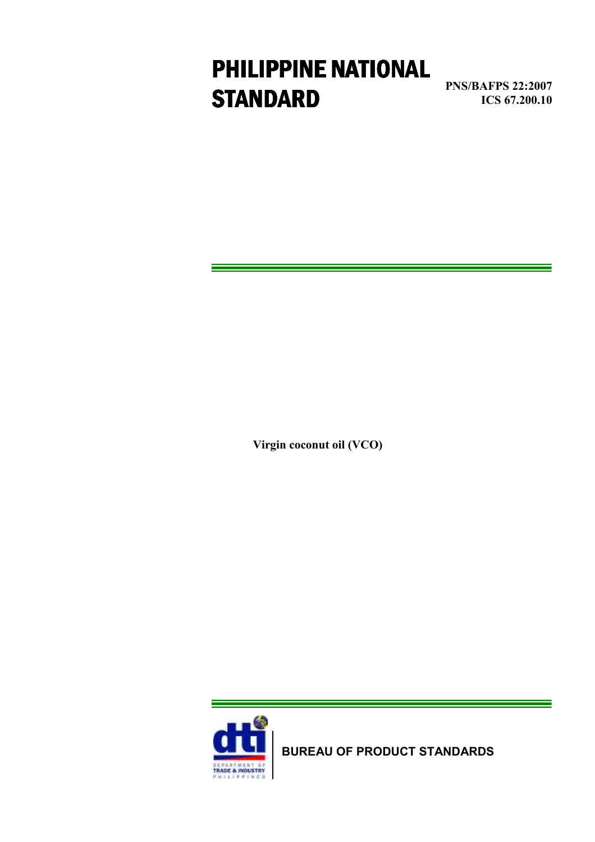# **STANDARD** PNS/BAFPS 22:2007 PHILIPPINE NATIONAL

**PNS/BAFPS 22:2007<br>ICS 67.200.10** 

Virgin coconut oil (VCO)



BUREAU OF PRODUCT STANDARDS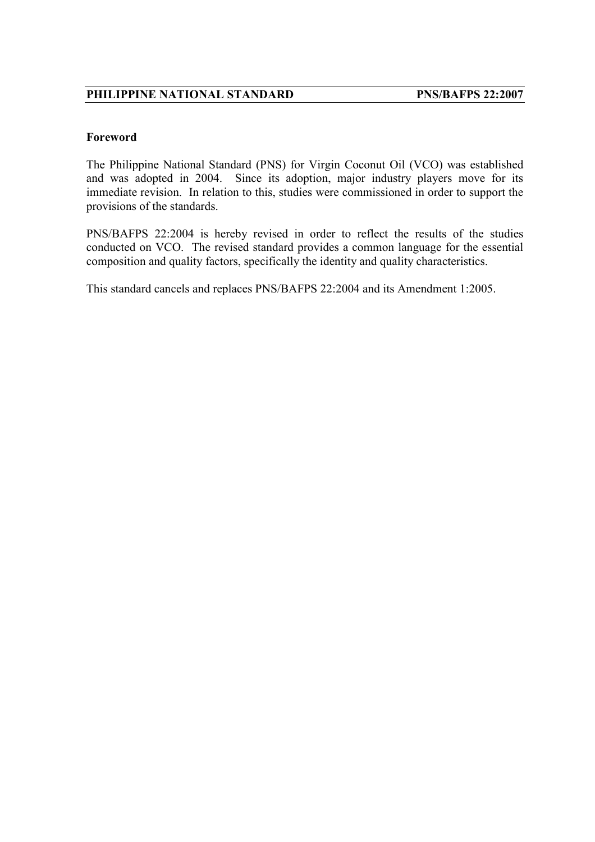#### Foreword

The Philippine National Standard (PNS) for Virgin Coconut Oil (VCO) was established and was adopted in 2004. Since its adoption, major industry players move for its immediate revision. In relation to this, studies were commissioned in order to support the provisions of the standards.

PNS/BAFPS 22:2004 is hereby revised in order to reflect the results of the studies conducted on VCO. The revised standard provides a common language for the essential composition and quality factors, specifically the identity and quality characteristics.

This standard cancels and replaces PNS/BAFPS 22:2004 and its Amendment 1:2005.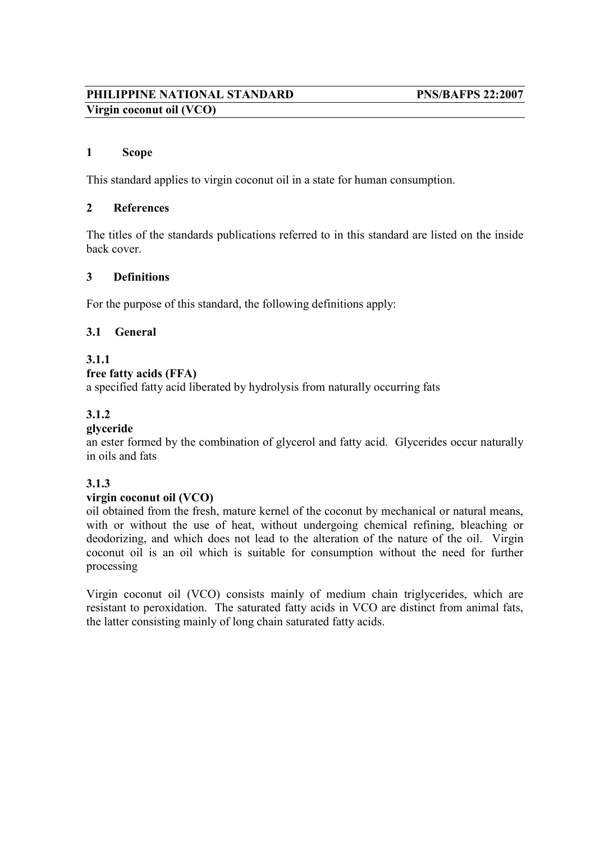### PHILIPPINE NATIONAL STANDARD PNS/BAFPS 22:2007 Virgin coconut oil (VCO)

#### 1 Scope

This standard applies to virgin coconut oil in a state for human consumption.

#### 2 References

The titles of the standards publications referred to in this standard are listed on the inside back cover.

#### 3 Definitions

For the purpose of this standard, the following definitions apply:

#### 3.1 General

#### 3.1.1

#### free fatty acids (FFA)

a specified fatty acid liberated by hydrolysis from naturally occurring fats

#### 3.1.2

#### glyceride

an ester formed by the combination of glycerol and fatty acid. Glycerides occur naturally in oils and fats

#### 3.1.3

#### virgin coconut oil (VCO)

oil obtained from the fresh, mature kernel of the coconut by mechanical or natural means, with or without the use of heat, without undergoing chemical refining, bleaching or deodorizing, and which does not lead to the alteration of the nature of the oil. Virgin coconut oil is an oil which is suitable for consumption without the need for further processing

Virgin coconut oil (VCO) consists mainly of medium chain triglycerides, which are resistant to peroxidation. The saturated fatty acids in VCO are distinct from animal fats, the latter consisting mainly of long chain saturated fatty acids.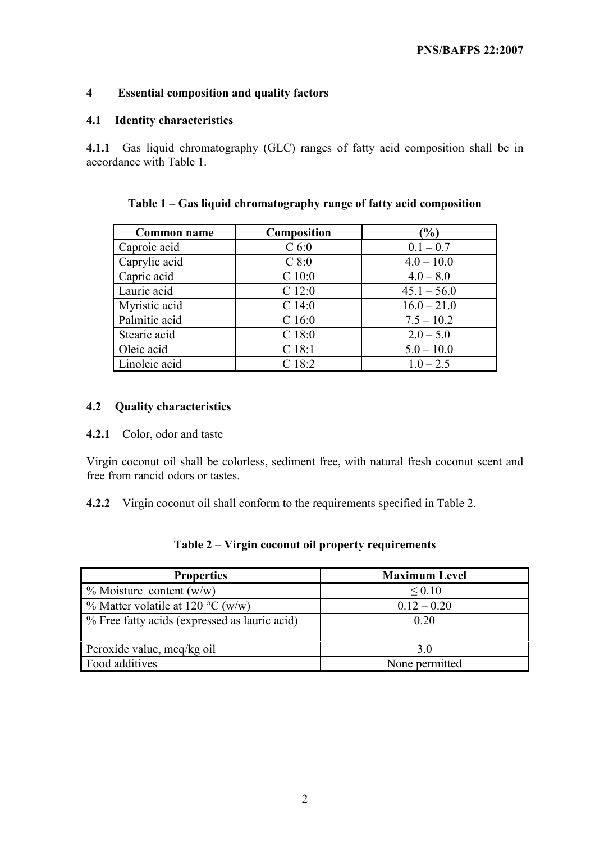#### 4 Essential composition and quality factors

#### 4.1 Identity characteristics

4.1.1 Gas liquid chromatography (GLC) ranges of fatty acid composition shall be in accordance with Table 1.

| <b>Common name</b> | Composition       | $(\%)$        |
|--------------------|-------------------|---------------|
| Caproic acid       | C <sub>6:0</sub>  | $0.1 - 0.7$   |
| Caprylic acid      | $C$ 8:0           | $4.0 - 10.0$  |
| Capric acid        | $C$ 10:0          | $4.0 - 8.0$   |
| Lauric acid        | $C$ 12:0          | $45.1 - 56.0$ |
| Myristic acid      | $C$ 14:0          | $16.0 - 21.0$ |
| Palmitic acid      | C <sub>16:0</sub> | $7.5 - 10.2$  |
| Stearic acid       | $C$ 18:0          | $2.0 - 5.0$   |
| Oleic acid         | $C$ 18:1          | $5.0 - 10.0$  |
| Linoleic acid      | $C$ 18:2          | $1.0 - 2.5$   |

Table 1 – Gas liquid chromatography range of fatty acid composition

#### 4.2 Quality characteristics

4.2.1 Color, odor and taste

Virgin coconut oil shall be colorless, sediment free, with natural fresh coconut scent and free from rancid odors or tastes.

4.2.2 Virgin coconut oil shall conform to the requirements specified in Table 2.

| <b>Properties</b>                             | <b>Maximum Level</b> |
|-----------------------------------------------|----------------------|
| $\%$ Moisture content (w/w)                   | ${}_{0.10}$          |
| % Matter volatile at 120 °C (w/w)             | $0.12 - 0.20$        |
| % Free fatty acids (expressed as lauric acid) | 0.20                 |
|                                               |                      |
| Peroxide value, meg/kg oil                    | 3 O                  |
| Food additives                                | None permitted       |

#### Table 2 – Virgin coconut oil property requirements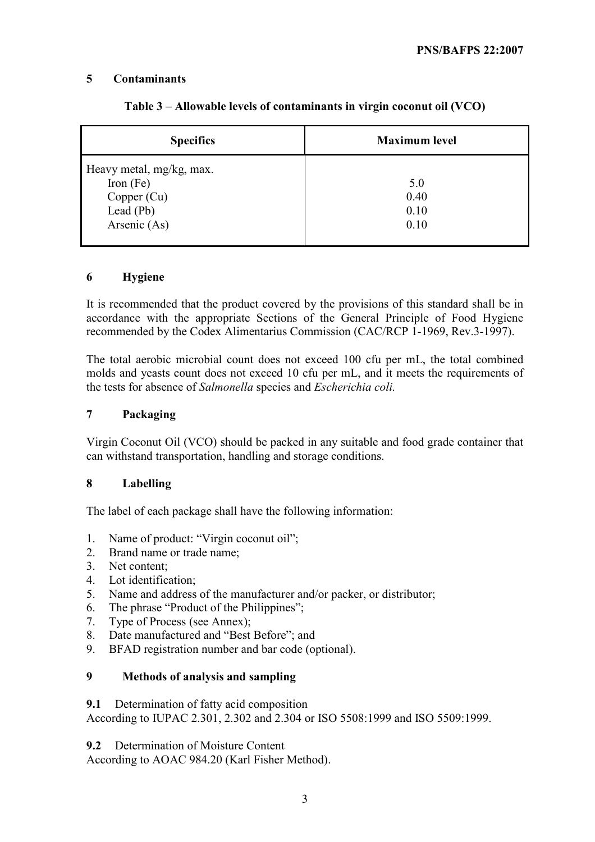#### 5 Contaminants

| <b>Specifics</b>         | <b>Maximum level</b> |
|--------------------------|----------------------|
| Heavy metal, mg/kg, max. |                      |
| Iron $(Fe)$              | 5.0                  |
| Copper (Cu)              | 0.40                 |
| Lead $(Pb)$              | 0.10                 |
| Arsenic (As)             | 0.10                 |
|                          |                      |

#### Table 3 – Allowable levels of contaminants in virgin coconut oil (VCO)

#### 6 Hygiene

It is recommended that the product covered by the provisions of this standard shall be in accordance with the appropriate Sections of the General Principle of Food Hygiene recommended by the Codex Alimentarius Commission (CAC/RCP 1-1969, Rev.3-1997).

The total aerobic microbial count does not exceed 100 cfu per mL, the total combined molds and yeasts count does not exceed 10 cfu per mL, and it meets the requirements of the tests for absence of Salmonella species and Escherichia coli.

#### 7 Packaging

Virgin Coconut Oil (VCO) should be packed in any suitable and food grade container that can withstand transportation, handling and storage conditions.

#### 8 Labelling

The label of each package shall have the following information:

- 1. Name of product: "Virgin coconut oil";
- 2. Brand name or trade name;
- 3. Net content;
- 4. Lot identification;
- 5. Name and address of the manufacturer and/or packer, or distributor;
- 6. The phrase "Product of the Philippines";
- 7. Type of Process (see Annex);
- 8. Date manufactured and "Best Before"; and
- 9. BFAD registration number and bar code (optional).

#### 9 Methods of analysis and sampling

#### 9.1 Determination of fatty acid composition

According to IUPAC 2.301, 2.302 and 2.304 or ISO 5508:1999 and ISO 5509:1999.

9.2 Determination of Moisture Content

According to AOAC 984.20 (Karl Fisher Method).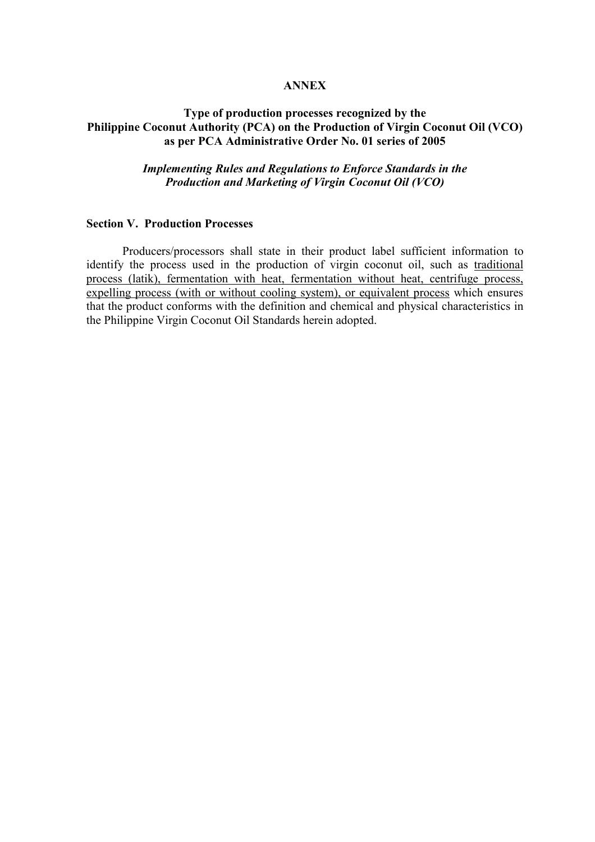#### **ANNEX**

#### Type of production processes recognized by the Philippine Coconut Authority (PCA) on the Production of Virgin Coconut Oil (VCO) as per PCA Administrative Order No. 01 series of 2005

#### Implementing Rules and Regulations to Enforce Standards in the Production and Marketing of Virgin Coconut Oil (VCO)

#### Section V. Production Processes

 Producers/processors shall state in their product label sufficient information to identify the process used in the production of virgin coconut oil, such as traditional process (latik), fermentation with heat, fermentation without heat, centrifuge process, expelling process (with or without cooling system), or equivalent process which ensures that the product conforms with the definition and chemical and physical characteristics in the Philippine Virgin Coconut Oil Standards herein adopted.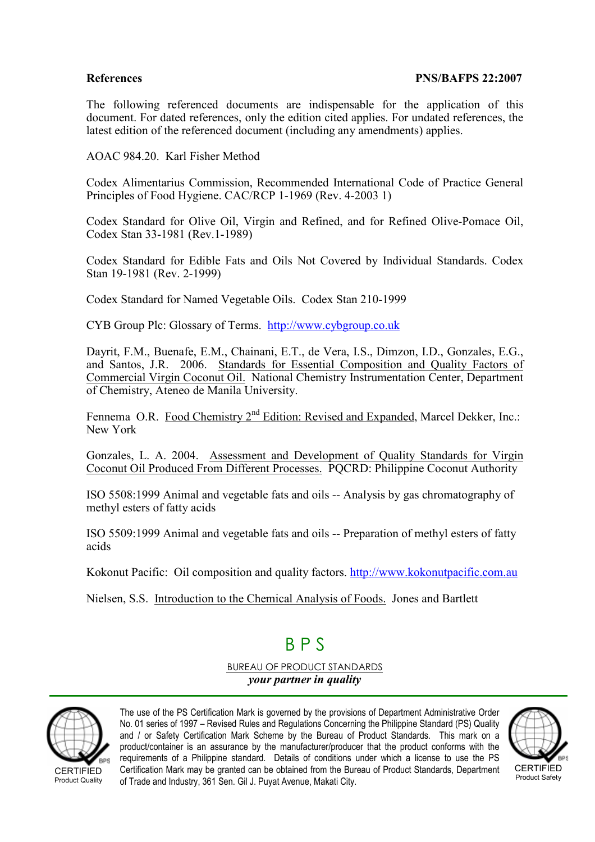The following referenced documents are indispensable for the application of this document. For dated references, only the edition cited applies. For undated references, the latest edition of the referenced document (including any amendments) applies.

AOAC 984.20. Karl Fisher Method

Codex Alimentarius Commission, Recommended International Code of Practice General Principles of Food Hygiene. CAC/RCP 1-1969 (Rev. 4-2003 1)

Codex Standard for Olive Oil, Virgin and Refined, and for Refined Olive-Pomace Oil, Codex Stan 33-1981 (Rev.1-1989)

Codex Standard for Edible Fats and Oils Not Covered by Individual Standards. Codex Stan 19-1981 (Rev. 2-1999)

Codex Standard for Named Vegetable Oils. Codex Stan 210-1999

CYB Group Plc: Glossary of Terms. http://www.cybgroup.co.uk

Dayrit, F.M., Buenafe, E.M., Chainani, E.T., de Vera, I.S., Dimzon, I.D., Gonzales, E.G., and Santos, J.R. 2006. Standards for Essential Composition and Quality Factors of Commercial Virgin Coconut Oil. National Chemistry Instrumentation Center, Department of Chemistry, Ateneo de Manila University.

Fennema O.R. Food Chemistry 2<sup>nd</sup> Edition: Revised and Expanded, Marcel Dekker, Inc.: New York

Gonzales, L. A. 2004. Assessment and Development of Quality Standards for Virgin Coconut Oil Produced From Different Processes. PQCRD: Philippine Coconut Authority

ISO 5508:1999 Animal and vegetable fats and oils -- Analysis by gas chromatography of methyl esters of fatty acids

ISO 5509:1999 Animal and vegetable fats and oils -- Preparation of methyl esters of fatty acids

Kokonut Pacific: Oil composition and quality factors. http://www.kokonutpacific.com.au

Nielsen, S.S. Introduction to the Chemical Analysis of Foods. Jones and Bartlett

## B P S

BUREAU OF PRODUCT STANDARDS your partner in quality



The use of the PS Certification Mark is governed by the provisions of Department Administrative Order No. 01 series of 1997 – Revised Rules and Regulations Concerning the Philippine Standard (PS) Quality and / or Safety Certification Mark Scheme by the Bureau of Product Standards. This mark on a product/container is an assurance by the manufacturer/producer that the product conforms with the requirements of a Philippine standard. Details of conditions under which a license to use the PS Certification Mark may be granted can be obtained from the Bureau of Product Standards, Department of Trade and Industry, 361 Sen. Gil J. Puyat Avenue, Makati City.